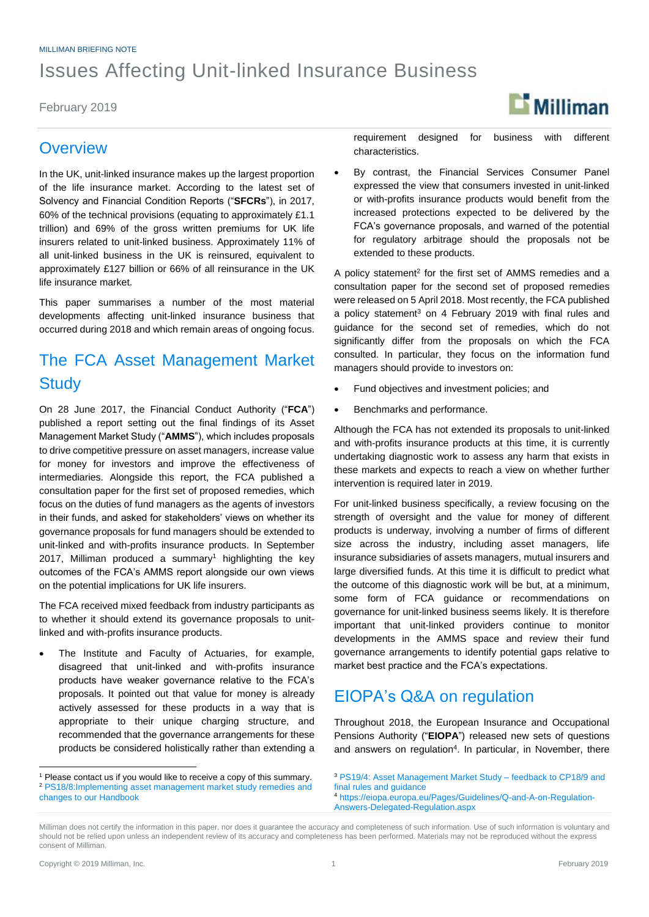#### MILLIMAN BRIEFING NOTE

# Issues Affecting Unit-linked Insurance Business

February 2019

### **Overview**

In the UK, unit-linked insurance makes up the largest proportion of the life insurance market. According to the latest set of Solvency and Financial Condition Reports ("**SFCRs**"), in 2017, 60% of the technical provisions (equating to approximately £1.1 trillion) and 69% of the gross written premiums for UK life insurers related to unit-linked business. Approximately 11% of all unit-linked business in the UK is reinsured, equivalent to approximately £127 billion or 66% of all reinsurance in the UK life insurance market.

This paper summarises a number of the most material developments affecting unit-linked insurance business that occurred during 2018 and which remain areas of ongoing focus.

# The FCA Asset Management Market **Study**

On 28 June 2017, the Financial Conduct Authority ("**FCA**") published a report setting out the final findings of its Asset Management Market Study ("**AMMS**"), which includes proposals to drive competitive pressure on asset managers, increase value for money for investors and improve the effectiveness of intermediaries. Alongside this report, the FCA published a consultation paper for the first set of proposed remedies, which focus on the duties of fund managers as the agents of investors in their funds, and asked for stakeholders' views on whether its governance proposals for fund managers should be extended to unit-linked and with-profits insurance products. In September 2017, Milliman produced a summary<sup>1</sup> highlighting the key outcomes of the FCA's AMMS report alongside our own views on the potential implications for UK life insurers.

The FCA received mixed feedback from industry participants as to whether it should extend its governance proposals to unitlinked and with-profits insurance products.

 The Institute and Faculty of Actuaries, for example, disagreed that unit-linked and with-profits insurance products have weaker governance relative to the FCA's proposals. It pointed out that value for money is already actively assessed for these products in a way that is appropriate to their unique charging structure, and recommended that the governance arrangements for these products be considered holistically rather than extending a

requirement designed for business with different characteristics.

 By contrast, the Financial Services Consumer Panel expressed the view that consumers invested in unit-linked or with-profits insurance products would benefit from the increased protections expected to be delivered by the FCA's governance proposals, and warned of the potential for regulatory arbitrage should the proposals not be extended to these products.

A policy statement<sup>2</sup> for the first set of AMMS remedies and a consultation paper for the second set of proposed remedies were released on 5 April 2018. Most recently, the FCA published a policy statement<sup>3</sup> on 4 February 2019 with final rules and guidance for the second set of remedies, which do not significantly differ from the proposals on which the FCA consulted. In particular, they focus on the information fund managers should provide to investors on:

- Fund objectives and investment policies; and
- Benchmarks and performance.

Although the FCA has not extended its proposals to unit-linked and with-profits insurance products at this time, it is currently undertaking diagnostic work to assess any harm that exists in these markets and expects to reach a view on whether further intervention is required later in 2019.

For unit-linked business specifically, a review focusing on the strength of oversight and the value for money of different products is underway, involving a number of firms of different size across the industry, including asset managers, life insurance subsidiaries of assets managers, mutual insurers and large diversified funds. At this time it is difficult to predict what the outcome of this diagnostic work will be but, at a minimum, some form of FCA guidance or recommendations on governance for unit-linked business seems likely. It is therefore important that unit-linked providers continue to monitor developments in the AMMS space and review their fund governance arrangements to identify potential gaps relative to market best practice and the FCA's expectations.

# EIOPA's Q&A on regulation

Throughout 2018, the European Insurance and Occupational Pensions Authority ("**EIOPA**") released new sets of questions and answers on regulation<sup>4</sup>. In particular, in November, there

-



<sup>&</sup>lt;sup>1</sup> Please contact us if you would like to receive a copy of this summary. <sup>2</sup> [PS18/8:Implementing asset management market study remedies and](https://www.fca.org.uk/publications/policy-statements/ps18-8-implementing-asset-management-market-study-remedies)  [changes to our Handbook](https://www.fca.org.uk/publications/policy-statements/ps18-8-implementing-asset-management-market-study-remedies)

<sup>3</sup> [PS19/4: Asset Management Market Study –](https://www.fca.org.uk/publications/policy-statements/ps19-4-asset-management-market-study-feedback-cp18-9-final-rules-guidance) feedback to CP18/9 and [final rules and guidance](https://www.fca.org.uk/publications/policy-statements/ps19-4-asset-management-market-study-feedback-cp18-9-final-rules-guidance)

<sup>4</sup> [https://eiopa.europa.eu/Pages/Guidelines/Q-and-A-on-Regulation-](https://eiopa.europa.eu/Pages/Guidelines/Q-and-A-on-Regulation-Answers-Delegated-Regulation.aspx)[Answers-Delegated-Regulation.aspx](https://eiopa.europa.eu/Pages/Guidelines/Q-and-A-on-Regulation-Answers-Delegated-Regulation.aspx)

Milliman does not certify the information in this paper, nor does it guarantee the accuracy and completeness of such information. Use of such information is voluntary and should not be relied upon unless an independent review of its accuracy and completeness has been performed. Materials may not be reproduced without the express consent of Milliman.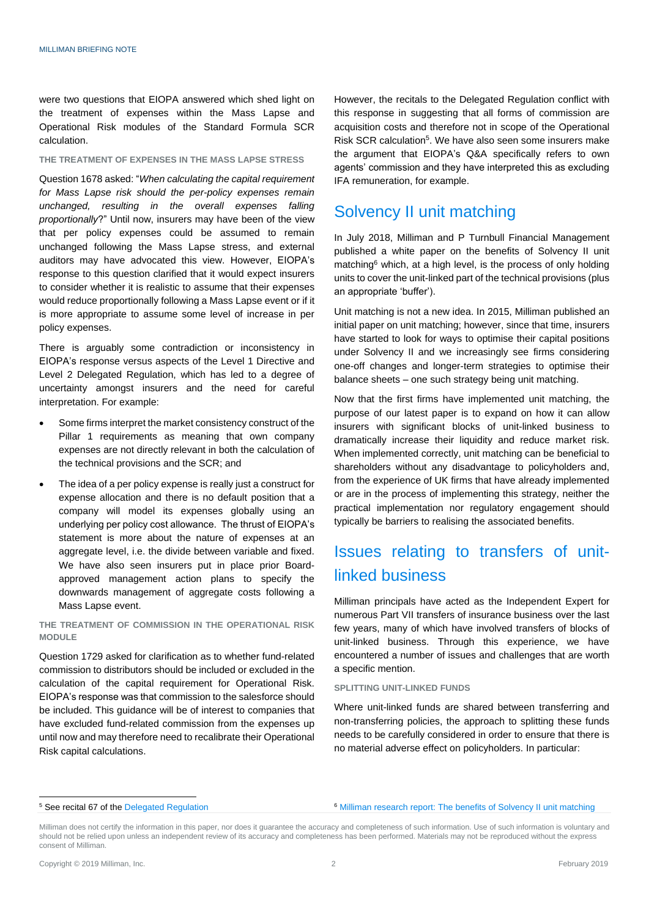were two questions that EIOPA answered which shed light on the treatment of expenses within the Mass Lapse and Operational Risk modules of the Standard Formula SCR calculation.

#### **THE TREATMENT OF EXPENSES IN THE MASS LAPSE STRESS**

Question 1678 asked: "*When calculating the capital requirement for Mass Lapse risk should the per-policy expenses remain unchanged, resulting in the overall expenses falling proportionally*?" Until now, insurers may have been of the view that per policy expenses could be assumed to remain unchanged following the Mass Lapse stress, and external auditors may have advocated this view. However, EIOPA's response to this question clarified that it would expect insurers to consider whether it is realistic to assume that their expenses would reduce proportionally following a Mass Lapse event or if it is more appropriate to assume some level of increase in per policy expenses.

There is arguably some contradiction or inconsistency in EIOPA's response versus aspects of the Level 1 Directive and Level 2 Delegated Regulation, which has led to a degree of uncertainty amongst insurers and the need for careful interpretation. For example:

- Some firms interpret the market consistency construct of the Pillar 1 requirements as meaning that own company expenses are not directly relevant in both the calculation of the technical provisions and the SCR; and
- The idea of a per policy expense is really just a construct for expense allocation and there is no default position that a company will model its expenses globally using an underlying per policy cost allowance. The thrust of EIOPA's statement is more about the nature of expenses at an aggregate level, i.e. the divide between variable and fixed. We have also seen insurers put in place prior Boardapproved management action plans to specify the downwards management of aggregate costs following a Mass Lapse event.

**THE TREATMENT OF COMMISSION IN THE OPERATIONAL RISK MODULE**

Question 1729 asked for clarification as to whether fund-related commission to distributors should be included or excluded in the calculation of the capital requirement for Operational Risk. EIOPA's response was that commission to the salesforce should be included. This guidance will be of interest to companies that have excluded fund-related commission from the expenses up until now and may therefore need to recalibrate their Operational Risk capital calculations.

However, the recitals to the Delegated Regulation conflict with this response in suggesting that all forms of commission are acquisition costs and therefore not in scope of the Operational Risk SCR calculation<sup>5</sup>. We have also seen some insurers make the argument that EIOPA's Q&A specifically refers to own agents' commission and they have interpreted this as excluding IFA remuneration, for example.

### Solvency II unit matching

In July 2018, Milliman and P Turnbull Financial Management published a white paper on the benefits of Solvency II unit matching<sup>6</sup> which, at a high level, is the process of only holding units to cover the unit-linked part of the technical provisions (plus an appropriate 'buffer').

Unit matching is not a new idea. In 2015, Milliman published an initial paper on unit matching; however, since that time, insurers have started to look for ways to optimise their capital positions under Solvency II and we increasingly see firms considering one-off changes and longer-term strategies to optimise their balance sheets – one such strategy being unit matching.

Now that the first firms have implemented unit matching, the purpose of our latest paper is to expand on how it can allow insurers with significant blocks of unit-linked business to dramatically increase their liquidity and reduce market risk. When implemented correctly, unit matching can be beneficial to shareholders without any disadvantage to policyholders and, from the experience of UK firms that have already implemented or are in the process of implementing this strategy, neither the practical implementation nor regulatory engagement should typically be barriers to realising the associated benefits.

# Issues relating to transfers of unitlinked business

Milliman principals have acted as the Independent Expert for numerous Part VII transfers of insurance business over the last few years, many of which have involved transfers of blocks of unit-linked business. Through this experience, we have encountered a number of issues and challenges that are worth a specific mention.

#### **SPLITTING UNIT-LINKED FUNDS**

Where unit-linked funds are shared between transferring and non-transferring policies, the approach to splitting these funds needs to be carefully considered in order to ensure that there is no material adverse effect on policyholders. In particular:

#### <sup>5</sup> See recital 67 of th[e Delegated Regulation](https://eur-lex.europa.eu/legal-content/EN/TXT/PDF/?uri=CELEX:32015R0035&from=EN)

<sup>6</sup> [Milliman research report: The benefits of Solvency II unit matching](http://uk.milliman.com/insight/2018/The-benefits-of-Solvency-II-unit-matching/)

-

Milliman does not certify the information in this paper, nor does it guarantee the accuracy and completeness of such information. Use of such information is voluntary and should not be relied upon unless an independent review of its accuracy and completeness has been performed. Materials may not be reproduced without the express consent of Milliman.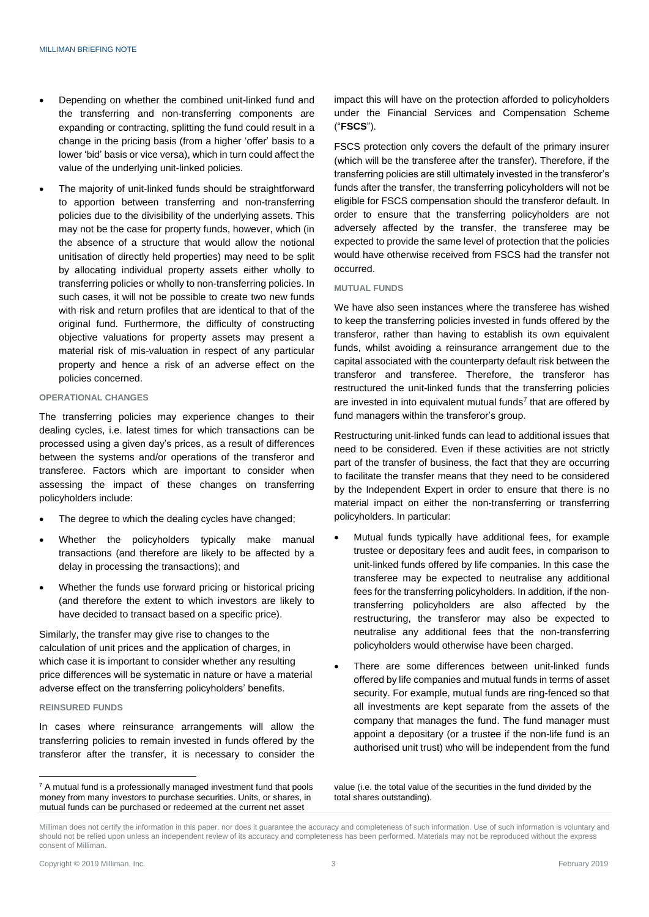- Depending on whether the combined unit-linked fund and the transferring and non-transferring components are expanding or contracting, splitting the fund could result in a change in the pricing basis (from a higher 'offer' basis to a lower 'bid' basis or vice versa), which in turn could affect the value of the underlying unit-linked policies.
- The majority of unit-linked funds should be straightforward to apportion between transferring and non-transferring policies due to the divisibility of the underlying assets. This may not be the case for property funds, however, which (in the absence of a structure that would allow the notional unitisation of directly held properties) may need to be split by allocating individual property assets either wholly to transferring policies or wholly to non-transferring policies. In such cases, it will not be possible to create two new funds with risk and return profiles that are identical to that of the original fund. Furthermore, the difficulty of constructing objective valuations for property assets may present a material risk of mis-valuation in respect of any particular property and hence a risk of an adverse effect on the policies concerned.

#### **OPERATIONAL CHANGES**

The transferring policies may experience changes to their dealing cycles, i.e. latest times for which transactions can be processed using a given day's prices, as a result of differences between the systems and/or operations of the transferor and transferee. Factors which are important to consider when assessing the impact of these changes on transferring policyholders include:

- The degree to which the dealing cycles have changed;
- Whether the policyholders typically make manual transactions (and therefore are likely to be affected by a delay in processing the transactions); and
- Whether the funds use forward pricing or historical pricing (and therefore the extent to which investors are likely to have decided to transact based on a specific price).

Similarly, the transfer may give rise to changes to the calculation of unit prices and the application of charges, in which case it is important to consider whether any resulting price differences will be systematic in nature or have a material adverse effect on the transferring policyholders' benefits.

#### **REINSURED FUNDS**

 $\overline{a}$ 

In cases where reinsurance arrangements will allow the transferring policies to remain invested in funds offered by the transferor after the transfer, it is necessary to consider the impact this will have on the protection afforded to policyholders under the Financial Services and Compensation Scheme ("**FSCS**").

FSCS protection only covers the default of the primary insurer (which will be the transferee after the transfer). Therefore, if the transferring policies are still ultimately invested in the transferor's funds after the transfer, the transferring policyholders will not be eligible for FSCS compensation should the transferor default. In order to ensure that the transferring policyholders are not adversely affected by the transfer, the transferee may be expected to provide the same level of protection that the policies would have otherwise received from FSCS had the transfer not occurred.

#### **MUTUAL FUNDS**

We have also seen instances where the transferee has wished to keep the transferring policies invested in funds offered by the transferor, rather than having to establish its own equivalent funds, whilst avoiding a reinsurance arrangement due to the capital associated with the counterparty default risk between the transferor and transferee. Therefore, the transferor has restructured the unit-linked funds that the transferring policies are invested in into equivalent mutual funds<sup>7</sup> that are offered by fund managers within the transferor's group.

Restructuring unit-linked funds can lead to additional issues that need to be considered. Even if these activities are not strictly part of the transfer of business, the fact that they are occurring to facilitate the transfer means that they need to be considered by the Independent Expert in order to ensure that there is no material impact on either the non-transferring or transferring policyholders. In particular:

- Mutual funds typically have additional fees, for example trustee or depositary fees and audit fees, in comparison to unit-linked funds offered by life companies. In this case the transferee may be expected to neutralise any additional fees for the transferring policyholders. In addition, if the nontransferring policyholders are also affected by the restructuring, the transferor may also be expected to neutralise any additional fees that the non-transferring policyholders would otherwise have been charged.
- There are some differences between unit-linked funds offered by life companies and mutual funds in terms of asset security. For example, mutual funds are ring-fenced so that all investments are kept separate from the assets of the company that manages the fund. The fund manager must appoint a depositary (or a trustee if the non-life fund is an authorised unit trust) who will be independent from the fund

value (i.e. the total value of the securities in the fund divided by the total shares outstanding).

 $7$  A mutual fund is a professionally managed investment fund that pools money from many investors to purchase securities. Units, or shares, in mutual funds can be purchased or redeemed at the current net asset

Milliman does not certify the information in this paper, nor does it guarantee the accuracy and completeness of such information. Use of such information is voluntary and should not be relied upon unless an independent review of its accuracy and completeness has been performed. Materials may not be reproduced without the express consent of Milliman.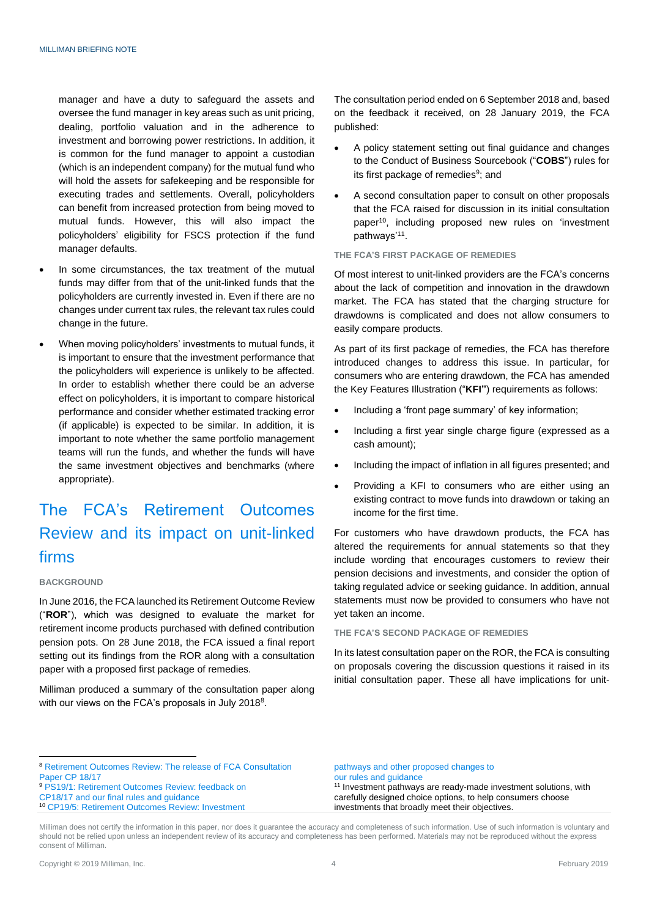manager and have a duty to safeguard the assets and oversee the fund manager in key areas such as unit pricing, dealing, portfolio valuation and in the adherence to investment and borrowing power restrictions. In addition, it is common for the fund manager to appoint a custodian (which is an independent company) for the mutual fund who will hold the assets for safekeeping and be responsible for executing trades and settlements. Overall, policyholders can benefit from increased protection from being moved to mutual funds. However, this will also impact the policyholders' eligibility for FSCS protection if the fund manager defaults.

- In some circumstances, the tax treatment of the mutual funds may differ from that of the unit-linked funds that the policyholders are currently invested in. Even if there are no changes under current tax rules, the relevant tax rules could change in the future.
- When moving policyholders' investments to mutual funds, it is important to ensure that the investment performance that the policyholders will experience is unlikely to be affected. In order to establish whether there could be an adverse effect on policyholders, it is important to compare historical performance and consider whether estimated tracking error (if applicable) is expected to be similar. In addition, it is important to note whether the same portfolio management teams will run the funds, and whether the funds will have the same investment objectives and benchmarks (where appropriate).

# The FCA's Retirement Outcomes Review and its impact on unit-linked firms

#### **BACKGROUND**

In June 2016, the FCA launched its Retirement Outcome Review ("**ROR**"), which was designed to evaluate the market for retirement income products purchased with defined contribution pension pots. On 28 June 2018, the FCA issued a final report setting out its findings from the ROR along with a consultation paper with a proposed first package of remedies.

Milliman produced a summary of the consultation paper along with our views on the FCA's proposals in July 2018<sup>8</sup>.

The consultation period ended on 6 September 2018 and, based on the feedback it received, on 28 January 2019, the FCA published:

- A policy statement setting out final guidance and changes to the Conduct of Business Sourcebook ("**COBS**") rules for its first package of remedies<sup>9</sup>; and
- A second consultation paper to consult on other proposals that the FCA raised for discussion in its initial consultation paper<sup>10</sup>, including proposed new rules on 'investment pathways'<sup>11</sup>.

#### **THE FCA'S FIRST PACKAGE OF REMEDIES**

Of most interest to unit-linked providers are the FCA's concerns about the lack of competition and innovation in the drawdown market. The FCA has stated that the charging structure for drawdowns is complicated and does not allow consumers to easily compare products.

As part of its first package of remedies, the FCA has therefore introduced changes to address this issue. In particular, for consumers who are entering drawdown, the FCA has amended the Key Features Illustration ("**KFI"**) requirements as follows:

- Including a 'front page summary' of key information;
- Including a first year single charge figure (expressed as a cash amount);
- Including the impact of inflation in all figures presented; and
- Providing a KFI to consumers who are either using an existing contract to move funds into drawdown or taking an income for the first time.

For customers who have drawdown products, the FCA has altered the requirements for annual statements so that they include wording that encourages customers to review their pension decisions and investments, and consider the option of taking regulated advice or seeking guidance. In addition, annual statements must now be provided to consumers who have not yet taken an income.

#### **THE FCA'S SECOND PACKAGE OF REMEDIES**

In its latest consultation paper on the ROR, the FCA is consulting on proposals covering the discussion questions it raised in its initial consultation paper. These all have implications for unit-

 $\overline{a}$ 

[pathways and other proposed changes to](https://www.fca.org.uk/publications/consultation-papers/cp19-5-retirement-outcomes-review) [our rules and guidance](https://www.fca.org.uk/publications/consultation-papers/cp19-5-retirement-outcomes-review) <sup>11</sup> Investment pathways are ready-made investment solutions, with carefully designed choice options, to help consumers choose investments that broadly meet their objectives.

<sup>8</sup> [Retirement Outcomes Review: The release of FCA Consultation](http://www.milliman.com/insight/2018/Retirement-Outcomes-Review-The-release-of-FCA-Consultation-Paper-CP-18/17/) 

[Paper CP 18/17](http://www.milliman.com/insight/2018/Retirement-Outcomes-Review-The-release-of-FCA-Consultation-Paper-CP-18/17/)

<sup>9</sup> [PS19/1: Retirement Outcomes Review: feedback on](https://www.fca.org.uk/publications/policy-statements/ps19-1-retirement-outcomes-review) [CP18/17 and our final rules and guidance](https://www.fca.org.uk/publications/policy-statements/ps19-1-retirement-outcomes-review)

<sup>10</sup> [CP19/5: Retirement Outcomes Review: Investment](https://www.fca.org.uk/publications/consultation-papers/cp19-5-retirement-outcomes-review)

Milliman does not certify the information in this paper, nor does it guarantee the accuracy and completeness of such information. Use of such information is voluntary and should not be relied upon unless an independent review of its accuracy and completeness has been performed. Materials may not be reproduced without the express consent of Milliman.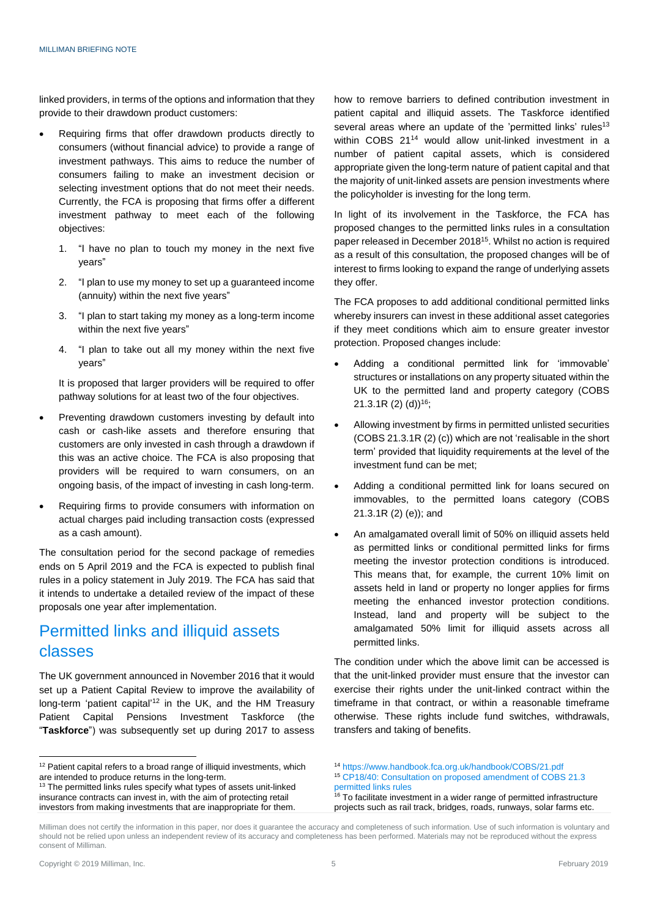linked providers, in terms of the options and information that they provide to their drawdown product customers:

- Requiring firms that offer drawdown products directly to consumers (without financial advice) to provide a range of investment pathways. This aims to reduce the number of consumers failing to make an investment decision or selecting investment options that do not meet their needs. Currently, the FCA is proposing that firms offer a different investment pathway to meet each of the following objectives:
	- 1. "I have no plan to touch my money in the next five years"
	- 2. "I plan to use my money to set up a guaranteed income (annuity) within the next five years"
	- 3. "I plan to start taking my money as a long-term income within the next five years"
	- 4. "I plan to take out all my money within the next five years"

It is proposed that larger providers will be required to offer pathway solutions for at least two of the four objectives.

- Preventing drawdown customers investing by default into cash or cash-like assets and therefore ensuring that customers are only invested in cash through a drawdown if this was an active choice. The FCA is also proposing that providers will be required to warn consumers, on an ongoing basis, of the impact of investing in cash long-term.
- Requiring firms to provide consumers with information on actual charges paid including transaction costs (expressed as a cash amount).

The consultation period for the second package of remedies ends on 5 April 2019 and the FCA is expected to publish final rules in a policy statement in July 2019. The FCA has said that it intends to undertake a detailed review of the impact of these proposals one year after implementation.

# Permitted links and illiquid assets classes

The UK government announced in November 2016 that it would set up a Patient Capital Review to improve the availability of long-term 'patient capital'<sup>12</sup> in the UK, and the HM Treasury Patient Capital Pensions Investment Taskforce (the "**Taskforce**") was subsequently set up during 2017 to assess

how to remove barriers to defined contribution investment in patient capital and illiquid assets. The Taskforce identified several areas where an update of the 'permitted links' rules<sup>13</sup> within COBS 21<sup>14</sup> would allow unit-linked investment in a number of patient capital assets, which is considered appropriate given the long-term nature of patient capital and that the majority of unit-linked assets are pension investments where the policyholder is investing for the long term.

In light of its involvement in the Taskforce, the FCA has proposed changes to the permitted links rules in a consultation paper released in December 2018<sup>15</sup>. Whilst no action is required as a result of this consultation, the proposed changes will be of interest to firms looking to expand the range of underlying assets they offer.

The FCA proposes to add additional conditional permitted links whereby insurers can invest in these additional asset categories if they meet conditions which aim to ensure greater investor protection. Proposed changes include:

- Adding a conditional permitted link for 'immovable' structures or installations on any property situated within the UK to the permitted land and property category (COBS  $21.3.1R$  (2) (d))<sup>16</sup>;
- Allowing investment by firms in permitted unlisted securities (COBS 21.3.1R (2) (c)) which are not 'realisable in the short term' provided that liquidity requirements at the level of the investment fund can be met;
- Adding a conditional permitted link for loans secured on immovables, to the permitted loans category (COBS 21.3.1R (2) (e)); and
- An amalgamated overall limit of 50% on illiquid assets held as permitted links or conditional permitted links for firms meeting the investor protection conditions is introduced. This means that, for example, the current 10% limit on assets held in land or property no longer applies for firms meeting the enhanced investor protection conditions. Instead, land and property will be subject to the amalgamated 50% limit for illiquid assets across all permitted links.

The condition under which the above limit can be accessed is that the unit-linked provider must ensure that the investor can exercise their rights under the unit-linked contract within the timeframe in that contract, or within a reasonable timeframe otherwise. These rights include fund switches, withdrawals, transfers and taking of benefits.

<sup>14</sup> <https://www.handbook.fca.org.uk/handbook/COBS/21.pdf>

 $\overline{a}$ 

 $12$  Patient capital refers to a broad range of illiquid investments, which are intended to produce returns in the long-term.

<sup>&</sup>lt;sup>13</sup> The permitted links rules specify what types of assets unit-linked insurance contracts can invest in, with the aim of protecting retail investors from making investments that are inappropriate for them.

<sup>15</sup> [CP18/40: Consultation on proposed amendment of COBS 21.3](https://www.fca.org.uk/publication/consultation/cp18-40.pdf)  [permitted links rules](https://www.fca.org.uk/publication/consultation/cp18-40.pdf)

 $16$  To facilitate investment in a wider range of permitted infrastructure projects such as rail track, bridges, roads, runways, solar farms etc.

Milliman does not certify the information in this paper, nor does it guarantee the accuracy and completeness of such information. Use of such information is voluntary and should not be relied upon unless an independent review of its accuracy and completeness has been performed. Materials may not be reproduced without the express consent of Milliman.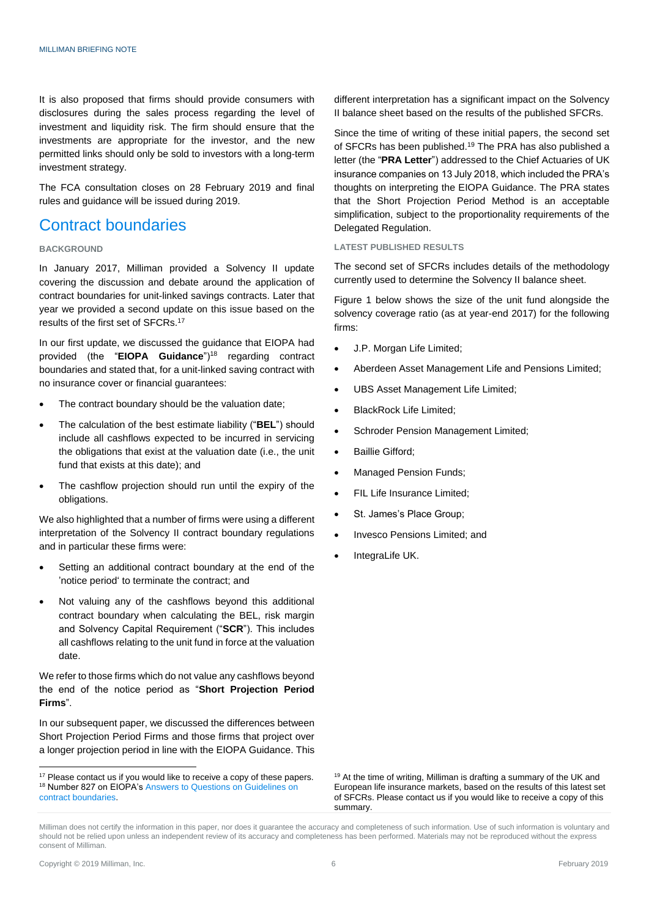It is also proposed that firms should provide consumers with disclosures during the sales process regarding the level of investment and liquidity risk. The firm should ensure that the investments are appropriate for the investor, and the new permitted links should only be sold to investors with a long-term investment strategy.

The FCA consultation closes on 28 February 2019 and final rules and guidance will be issued during 2019.

### Contract boundaries

#### **BACKGROUND**

In January 2017, Milliman provided a Solvency II update covering the discussion and debate around the application of contract boundaries for unit-linked savings contracts. Later that year we provided a second update on this issue based on the results of the first set of SFCRs. 17

In our first update, we discussed the guidance that EIOPA had provided (the "**EIOPA Guidance**")<sup>18</sup> regarding contract boundaries and stated that, for a unit-linked saving contract with no insurance cover or financial guarantees:

- The contract boundary should be the valuation date;
- The calculation of the best estimate liability ("**BEL**") should include all cashflows expected to be incurred in servicing the obligations that exist at the valuation date (i.e., the unit fund that exists at this date); and
- The cashflow projection should run until the expiry of the obligations.

We also highlighted that a number of firms were using a different interpretation of the Solvency II contract boundary regulations and in particular these firms were:

- Setting an additional contract boundary at the end of the 'notice period' to terminate the contract; and
- Not valuing any of the cashflows beyond this additional contract boundary when calculating the BEL, risk margin and Solvency Capital Requirement ("**SCR**"). This includes all cashflows relating to the unit fund in force at the valuation date.

We refer to those firms which do not value any cashflows beyond the end of the notice period as "**Short Projection Period Firms**".

In our subsequent paper, we discussed the differences between Short Projection Period Firms and those firms that project over a longer projection period in line with the EIOPA Guidance. This different interpretation has a significant impact on the Solvency II balance sheet based on the results of the published SFCRs.

Since the time of writing of these initial papers, the second set of SFCRs has been published.<sup>19</sup> The PRA has also published a letter (the "**PRA Letter**") addressed to the Chief Actuaries of UK insurance companies on 13 July 2018, which included the PRA's thoughts on interpreting the EIOPA Guidance. The PRA states that the Short Projection Period Method is an acceptable simplification, subject to the proportionality requirements of the Delegated Regulation.

#### **LATEST PUBLISHED RESULTS**

The second set of SFCRs includes details of the methodology currently used to determine the Solvency II balance sheet.

Figure 1 below shows the size of the unit fund alongside the solvency coverage ratio (as at year-end 2017) for the following firms:

- J.P. Morgan Life Limited;
- Aberdeen Asset Management Life and Pensions Limited;
- UBS Asset Management Life Limited;
- BlackRock Life Limited;
- Schroder Pension Management Limited;
- Baillie Gifford;
- Managed Pension Funds;
- FIL Life Insurance Limited;
- St. James's Place Group;
- Invesco Pensions Limited; and
- IntegraLife UK.

<sup>19</sup> At the time of writing, Milliman is drafting a summary of the UK and European life insurance markets, based on the results of this latest set of SFCRs. Please contact us if you would like to receive a copy of this summary.

-

<sup>&</sup>lt;sup>17</sup> Please contact us if you would like to receive a copy of these papers. 18 Number 827 on EIOPA's Answers to Questions on Guidelines on [contract boundaries.](https://eiopa.europa.eu/Publications/Guidelines/Guidelines%20on%20contract%20boundaries.xlsb)

Milliman does not certify the information in this paper, nor does it guarantee the accuracy and completeness of such information. Use of such information is voluntary and should not be relied upon unless an independent review of its accuracy and completeness has been performed. Materials may not be reproduced without the express consent of Milliman.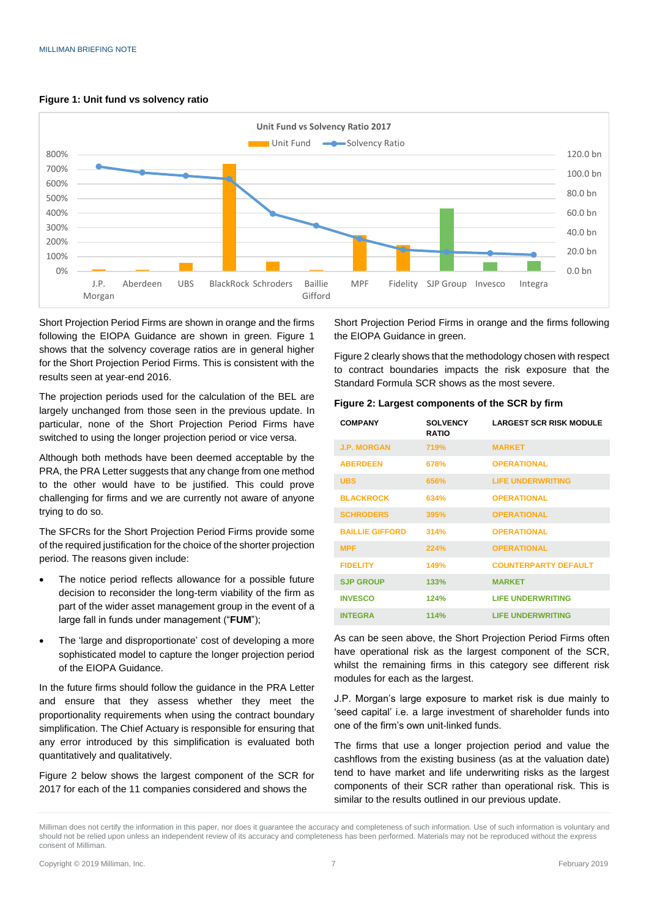

#### **Figure 1: Unit fund vs solvency ratio**

Short Projection Period Firms are shown in orange and the firms following the EIOPA Guidance are shown in green. Figure 1 shows that the solvency coverage ratios are in general higher for the Short Projection Period Firms. This is consistent with the results seen at year-end 2016.

The projection periods used for the calculation of the BEL are largely unchanged from those seen in the previous update. In particular, none of the Short Projection Period Firms have switched to using the longer projection period or vice versa.

Although both methods have been deemed acceptable by the PRA, the PRA Letter suggests that any change from one method to the other would have to be justified. This could prove challenging for firms and we are currently not aware of anyone trying to do so.

The SFCRs for the Short Projection Period Firms provide some of the required justification for the choice of the shorter projection period. The reasons given include:

- The notice period reflects allowance for a possible future decision to reconsider the long-term viability of the firm as part of the wider asset management group in the event of a large fall in funds under management ("**FUM**");
- The 'large and disproportionate' cost of developing a more sophisticated model to capture the longer projection period of the EIOPA Guidance.

In the future firms should follow the guidance in the PRA Letter and ensure that they assess whether they meet the proportionality requirements when using the contract boundary simplification. The Chief Actuary is responsible for ensuring that any error introduced by this simplification is evaluated both quantitatively and qualitatively.

Figure 2 below shows the largest component of the SCR for 2017 for each of the 11 companies considered and shows the

Short Projection Period Firms in orange and the firms following the EIOPA Guidance in green.

Figure 2 clearly shows that the methodology chosen with respect to contract boundaries impacts the risk exposure that the Standard Formula SCR shows as the most severe.

#### **Figure 2: Largest components of the SCR by firm**

| <b>COMPANY</b>         | <b>SOLVENCY</b><br><b>RATIO</b> | <b>LARGEST SCR RISK MODULE</b> |
|------------------------|---------------------------------|--------------------------------|
| <b>J.P. MORGAN</b>     | 719%                            | <b>MARKET</b>                  |
| <b>ABERDEEN</b>        | 678%                            | <b>OPERATIONAL</b>             |
| <b>UBS</b>             | 656%                            | <b>LIFE UNDERWRITING</b>       |
| <b>BLACKROCK</b>       | 634%                            | <b>OPERATIONAL</b>             |
| <b>SCHRODERS</b>       | 395%                            | <b>OPERATIONAL</b>             |
| <b>BAILLIE GIFFORD</b> | 314%                            | <b>OPERATIONAL</b>             |
| <b>MPF</b>             | 224%                            | <b>OPERATIONAL</b>             |
| <b>FIDELITY</b>        | 149%                            | <b>COUNTERPARTY DEFAULT</b>    |
| <b>SJP GROUP</b>       | 133%                            | <b>MARKET</b>                  |
| <b>INVESCO</b>         | 124%                            | <b>LIFE UNDERWRITING</b>       |
| <b>INTEGRA</b>         | 114%                            | <b>LIFE UNDERWRITING</b>       |

As can be seen above, the Short Projection Period Firms often have operational risk as the largest component of the SCR, whilst the remaining firms in this category see different risk modules for each as the largest.

J.P. Morgan's large exposure to market risk is due mainly to 'seed capital' i.e. a large investment of shareholder funds into one of the firm's own unit-linked funds.

The firms that use a longer projection period and value the cashflows from the existing business (as at the valuation date) tend to have market and life underwriting risks as the largest components of their SCR rather than operational risk. This is similar to the results outlined in our previous update.

Milliman does not certify the information in this paper, nor does it guarantee the accuracy and completeness of such information. Use of such information is voluntary and should not be relied upon unless an independent review of its accuracy and completeness has been performed. Materials may not be reproduced without the express consent of Milliman.